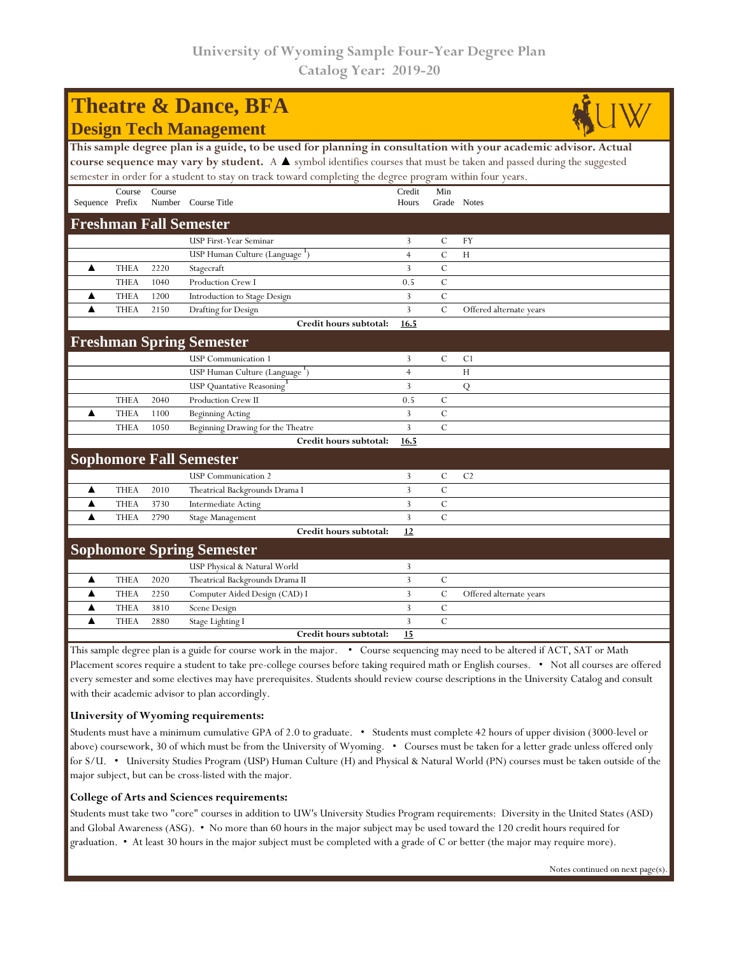| <b>Theatre &amp; Dance, BFA</b>                                                                                       |             |        |                                            |                |               |                         |  |  |  |  |  |  |
|-----------------------------------------------------------------------------------------------------------------------|-------------|--------|--------------------------------------------|----------------|---------------|-------------------------|--|--|--|--|--|--|
| <b>Design Tech Management</b>                                                                                         |             |        |                                            |                |               |                         |  |  |  |  |  |  |
| This sample degree plan is a guide, to be used for planning in consultation with your academic advisor. Actual        |             |        |                                            |                |               |                         |  |  |  |  |  |  |
| course sequence may vary by student. A A symbol identifies courses that must be taken and passed during the suggested |             |        |                                            |                |               |                         |  |  |  |  |  |  |
| semester in order for a student to stay on track toward completing the degree program within four years.              |             |        |                                            |                |               |                         |  |  |  |  |  |  |
|                                                                                                                       | Course      | Course |                                            | Credit         | Min           |                         |  |  |  |  |  |  |
| Sequence Prefix                                                                                                       |             |        | Number Course Title                        | Hours          | Grade Notes   |                         |  |  |  |  |  |  |
| <b>Freshman Fall Semester</b>                                                                                         |             |        |                                            |                |               |                         |  |  |  |  |  |  |
|                                                                                                                       |             |        | <b>USP First-Year Seminar</b>              | 3              | $\mathcal{C}$ | FY                      |  |  |  |  |  |  |
|                                                                                                                       |             |        | USP Human Culture (Language <sup>1</sup> ) | $\overline{4}$ | $\mathcal{C}$ | H                       |  |  |  |  |  |  |
| ▲                                                                                                                     | <b>THEA</b> | 2220   | Stagecraft                                 | 3              | $\mathcal{C}$ |                         |  |  |  |  |  |  |
|                                                                                                                       | <b>THEA</b> | 1040   | Production Crew I                          | 0.5            | $\mathcal{C}$ |                         |  |  |  |  |  |  |
| ▲                                                                                                                     | <b>THEA</b> | 1200   | Introduction to Stage Design               | 3              | $\mathcal{C}$ |                         |  |  |  |  |  |  |
| ▲                                                                                                                     | <b>THEA</b> | 2150   | Drafting for Design                        | $\overline{3}$ | $\mathcal{C}$ | Offered alternate years |  |  |  |  |  |  |
|                                                                                                                       |             |        | Credit hours subtotal:                     | 16.5           |               |                         |  |  |  |  |  |  |
|                                                                                                                       |             |        | <b>Freshman Spring Semester</b>            |                |               |                         |  |  |  |  |  |  |
|                                                                                                                       |             |        | <b>USP</b> Communication 1                 | 3              | $\mathcal{C}$ | C <sub>1</sub>          |  |  |  |  |  |  |
|                                                                                                                       |             |        | USP Human Culture (Language <sup>1</sup> ) | $\overline{4}$ |               | H                       |  |  |  |  |  |  |
|                                                                                                                       |             |        | USP Quantative Reasoning                   | 3              |               | Q                       |  |  |  |  |  |  |
|                                                                                                                       | <b>THEA</b> | 2040   | Production Crew II                         | 0.5            | $\mathcal{C}$ |                         |  |  |  |  |  |  |
| ▲                                                                                                                     | <b>THEA</b> | 1100   | <b>Beginning Acting</b>                    | 3              | $\mathcal{C}$ |                         |  |  |  |  |  |  |
|                                                                                                                       | <b>THEA</b> | 1050   | Beginning Drawing for the Theatre          | 3              | $\mathcal{C}$ |                         |  |  |  |  |  |  |
|                                                                                                                       |             |        | Credit hours subtotal:                     | 16.5           |               |                         |  |  |  |  |  |  |
|                                                                                                                       |             |        | <b>Sophomore Fall Semester</b>             |                |               |                         |  |  |  |  |  |  |
|                                                                                                                       |             |        | <b>USP</b> Communication 2                 | 3              | $\mathcal{C}$ | C <sub>2</sub>          |  |  |  |  |  |  |
| ▲                                                                                                                     | <b>THEA</b> | 2010   | Theatrical Backgrounds Drama I             | 3              | $\mathcal{C}$ |                         |  |  |  |  |  |  |
| ▲                                                                                                                     | <b>THEA</b> | 3730   | <b>Intermediate Acting</b>                 | 3              | $\mathcal{C}$ |                         |  |  |  |  |  |  |
| ▲                                                                                                                     | <b>THEA</b> | 2790   | Stage Management                           | 3              | $\mathcal{C}$ |                         |  |  |  |  |  |  |
|                                                                                                                       |             |        | Credit hours subtotal:                     | 12             |               |                         |  |  |  |  |  |  |
|                                                                                                                       |             |        | <b>Sophomore Spring Semester</b>           |                |               |                         |  |  |  |  |  |  |
|                                                                                                                       |             |        | USP Physical & Natural World               | 3              |               |                         |  |  |  |  |  |  |
| ▲                                                                                                                     | <b>THEA</b> | 2020   | Theatrical Backgrounds Drama II            | 3              | $\mathcal{C}$ |                         |  |  |  |  |  |  |
| ▲                                                                                                                     | <b>THEA</b> | 2250   | Computer Aided Design (CAD) I              | 3              | $\mathcal{C}$ | Offered alternate years |  |  |  |  |  |  |
| ▲                                                                                                                     | <b>THEA</b> | 3810   | Scene Design                               | 3              | $\mathcal{C}$ |                         |  |  |  |  |  |  |
| ▲                                                                                                                     | <b>THEA</b> | 2880   | Stage Lighting I                           | 3              | $\mathcal{C}$ |                         |  |  |  |  |  |  |
|                                                                                                                       |             |        | Credit hours subtotal:                     | 15             |               |                         |  |  |  |  |  |  |

This sample degree plan is a guide for course work in the major. • Course sequencing may need to be altered if ACT, SAT or Math Placement scores require a student to take pre-college courses before taking required math or English courses. • Not all courses are offered every semester and some electives may have prerequisites. Students should review course descriptions in the University Catalog and consult with their academic advisor to plan accordingly.

## **University of Wyoming requirements:**

Students must have a minimum cumulative GPA of 2.0 to graduate. • Students must complete 42 hours of upper division (3000-level or above) coursework, 30 of which must be from the University of Wyoming. • Courses must be taken for a letter grade unless offered only for S/U. • University Studies Program (USP) Human Culture (H) and Physical & Natural World (PN) courses must be taken outside of the major subject, but can be cross-listed with the major.

## **College of Arts and Sciences requirements:**

Students must take two "core" courses in addition to UW's University Studies Program requirements: Diversity in the United States (ASD) and Global Awareness (ASG). • No more than 60 hours in the major subject may be used toward the 120 credit hours required for graduation. • At least 30 hours in the major subject must be completed with a grade of C or better (the major may require more).